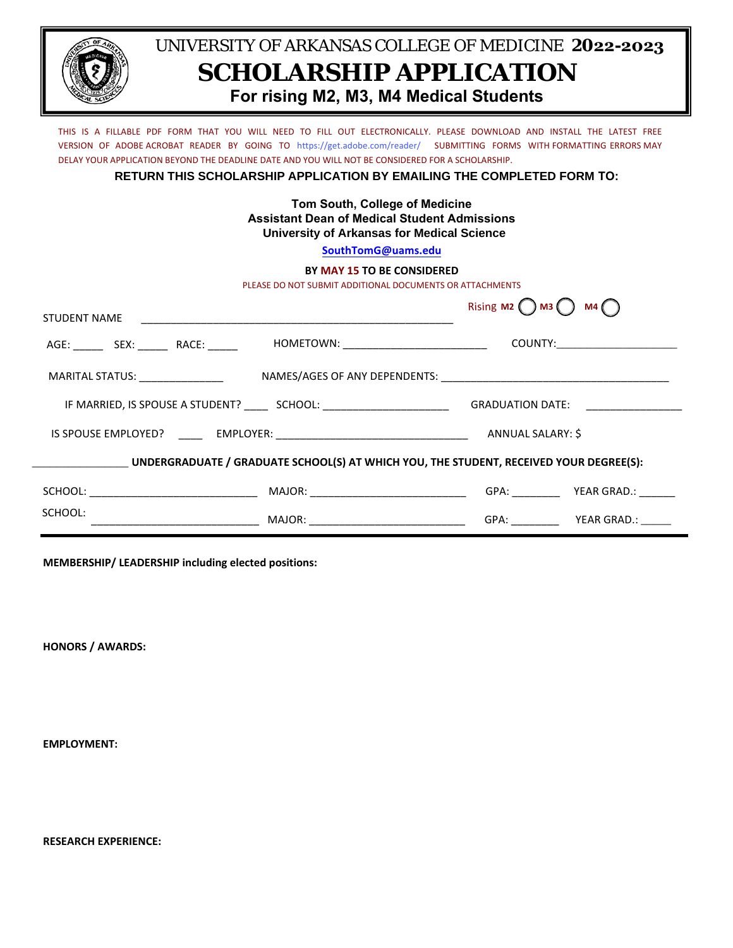

## UNIVERSITY OF ARKANSAS COLLEGE OF MEDICINE **2022-2023 SCHOLARSHIP APPLICATION For rising M2, M3, M4 Medical Students**

THIS IS A FILLABLE PDF FORM THAT YOU WILL NEED TO FILL OUT ELECTRONICALLY. PLEASE DOWNLOAD AND INSTALL THE LATEST FREE VERSION OF ADOBE ACROBAT READER BY GOING TO https://get.adobe.com/reader/ SUBMITTING FORMS WITH FORMATTING ERRORS MAY DELAY YOUR APPLICATION BEYOND THE DEADLINE DATE AND YOU WILL NOT BE CONSIDERED FOR A SCHOLARSHIP.

**RETURN THIS SCHOLARSHIP APPLICATION BY EMAILING THE COMPLETED FORM TO:**

**Tom South, College of Medicine Assistant Dean of Medical Student Admissions University of Arkansas for Medical Science** 

**[SouthTomG](mailto:jrmclachlin@uams.edu)@uams.edu**

## **BY MAY 15 TO BE CONSIDERED**

PLEASE DO NOT SUBMIT ADDITIONAL DOCUMENTS OR ATTACHMENTS

| STUDENT NAME                                                                           |                                                   | Rising $M2$ $M3$ | M4 (                            |  |
|----------------------------------------------------------------------------------------|---------------------------------------------------|------------------|---------------------------------|--|
| AGE: SEX: RACE:                                                                        | HOMETOWN: _______________________________         |                  | COUNTY:________________________ |  |
| MARITAL STATUS: ___________________                                                    |                                                   |                  |                                 |  |
| IF MARRIED, IS SPOUSE A STUDENT? ________ SCHOOL: ______________________________       | GRADUATION DATE: CONTROLLER CONTROLLER CONTROLLER |                  |                                 |  |
|                                                                                        |                                                   |                  |                                 |  |
| UNDERGRADUATE / GRADUATE SCHOOL(S) AT WHICH YOU, THE STUDENT, RECEIVED YOUR DEGREE(S): |                                                   |                  |                                 |  |
|                                                                                        |                                                   |                  |                                 |  |
| SCHOOL:                                                                                | MAJOR: __________________________________         |                  |                                 |  |

**MEMBERSHIP/ LEADERSHIP including elected positions:** 

**HONORS / AWARDS:**

**EMPLOYMENT:**

**RESEARCH EXPERIENCE:**